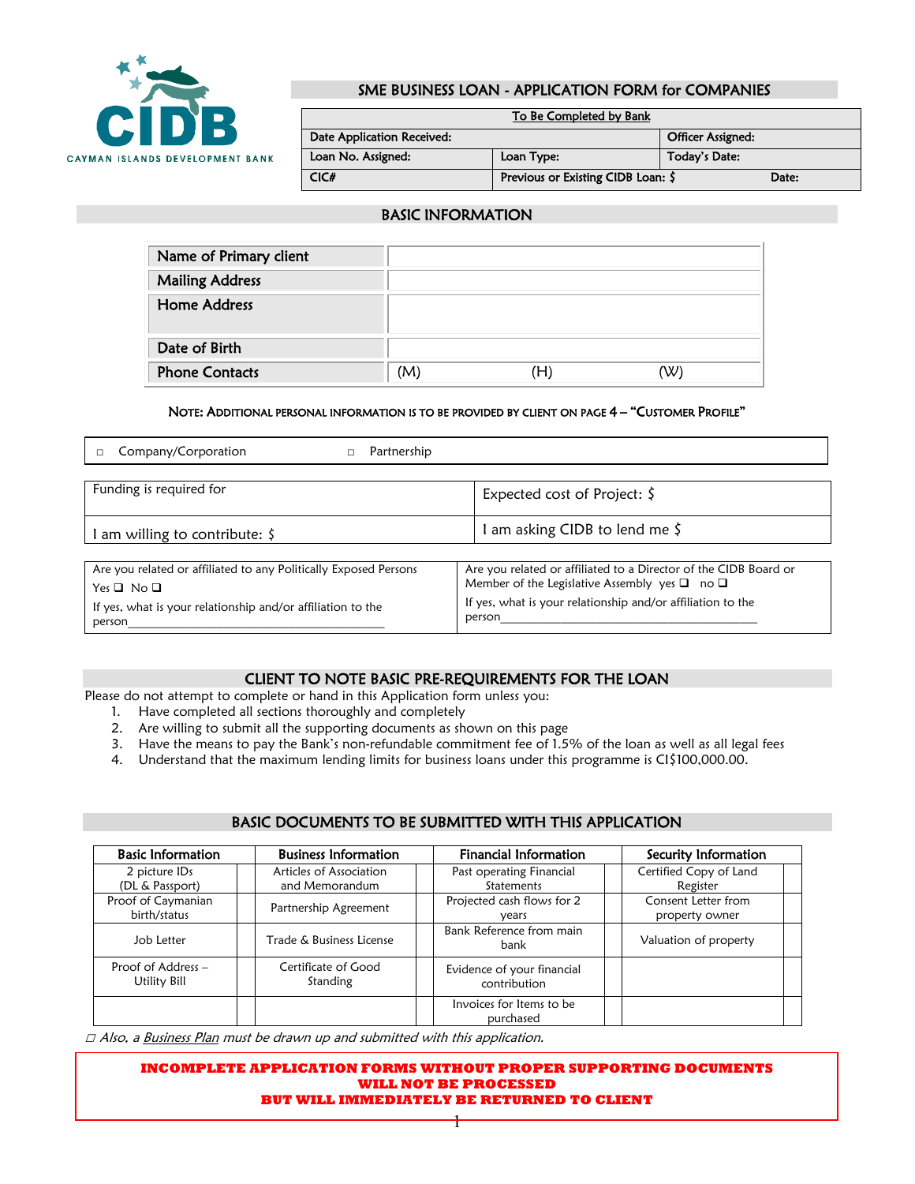

# SME BUSINESS LOAN - APPLICATION FORM for COMPANIES

| To Be Completed by Bank    |                                    |                   |       |  |  |
|----------------------------|------------------------------------|-------------------|-------|--|--|
| Date Application Received: |                                    | Officer Assigned: |       |  |  |
| Loan No. Assigned:         | Loan Type:                         | Today's Date:     |       |  |  |
| CICH                       | Previous or Existing CIDB Loan: \$ |                   | Date: |  |  |

## BASIC INFORMATION

| Name of Primary client |     |     |  |
|------------------------|-----|-----|--|
| <b>Mailing Address</b> |     |     |  |
| <b>Home Address</b>    |     |     |  |
| Date of Birth          |     |     |  |
| <b>Phone Contacts</b>  | (M) | (H) |  |

## NOTE: ADDITIONAL PERSONAL INFORMATION IS TO BE PROVIDED BY CLIENT ON PAGE 4 – "CUSTOMER PROFILE"

| Company/Corporation<br>Partnership                                     |                                                                       |  |  |  |
|------------------------------------------------------------------------|-----------------------------------------------------------------------|--|--|--|
| Funding is required for                                                | Expected cost of Project: $\zeta$                                     |  |  |  |
| am asking CIDB to lend me $\zeta$<br>am willing to contribute: $\zeta$ |                                                                       |  |  |  |
|                                                                        |                                                                       |  |  |  |
| Are you related or affiliated to any Politically Exposed Persons       | Are you related or affiliated to a Director of the CIDB Board or      |  |  |  |
| Yes $\Box$ No $\Box$                                                   | Member of the Legislative Assembly yes $\Box$ no $\Box$               |  |  |  |
| If yes, what is your relationship and/or affiliation to the<br>person  | If yes, what is your relationship and/or affiliation to the<br>person |  |  |  |

# CLIENT TO NOTE BASIC PRE-REQUIREMENTS FOR THE LOAN

Please do not attempt to complete or hand in this Application form unless you:

- 1. Have completed all sections thoroughly and completely
- 2. Are willing to submit all the supporting documents as shown on this page
- 3. Have the means to pay the Bank's non-refundable commitment fee of 1.5% of the loan as well as all legal fees
- 4. Understand that the maximum lending limits for business loans under this programme is CI\$100,000.00.

### BASIC DOCUMENTS TO BE SUBMITTED WITH THIS APPLICATION

| <b>Basic Information</b><br><b>Business Information</b> |                                           | <b>Financial Information</b> |                                            | Security Information |                                       |  |
|---------------------------------------------------------|-------------------------------------------|------------------------------|--------------------------------------------|----------------------|---------------------------------------|--|
| 2 picture IDs<br>(DL & Passport)                        | Articles of Association<br>and Memorandum |                              | Past operating Financial<br>Statements     |                      | Certified Copy of Land<br>Register    |  |
| Proof of Caymanian<br>birth/status                      | Partnership Agreement                     |                              | Projected cash flows for 2<br>years        |                      | Consent Letter from<br>property owner |  |
| Job Letter                                              | Trade & Business License                  |                              | Bank Reference from main<br>bank           |                      | Valuation of property                 |  |
| Proof of Address -<br>Utility Bill                      | Certificate of Good<br>Standing           |                              | Evidence of your financial<br>contribution |                      |                                       |  |
|                                                         |                                           |                              | Invoices for Items to be<br>purchased      |                      |                                       |  |

□ Also, a Business Plan must be drawn up and submitted with this application.

#### **INCOMPLETE APPLICATION FORMS WITHOUT PROPER SUPPORTING DOCUMENTS WILL NOT BE PROCESSED BUT WILL IMMEDIATELY BE RETURNED TO CLIENT**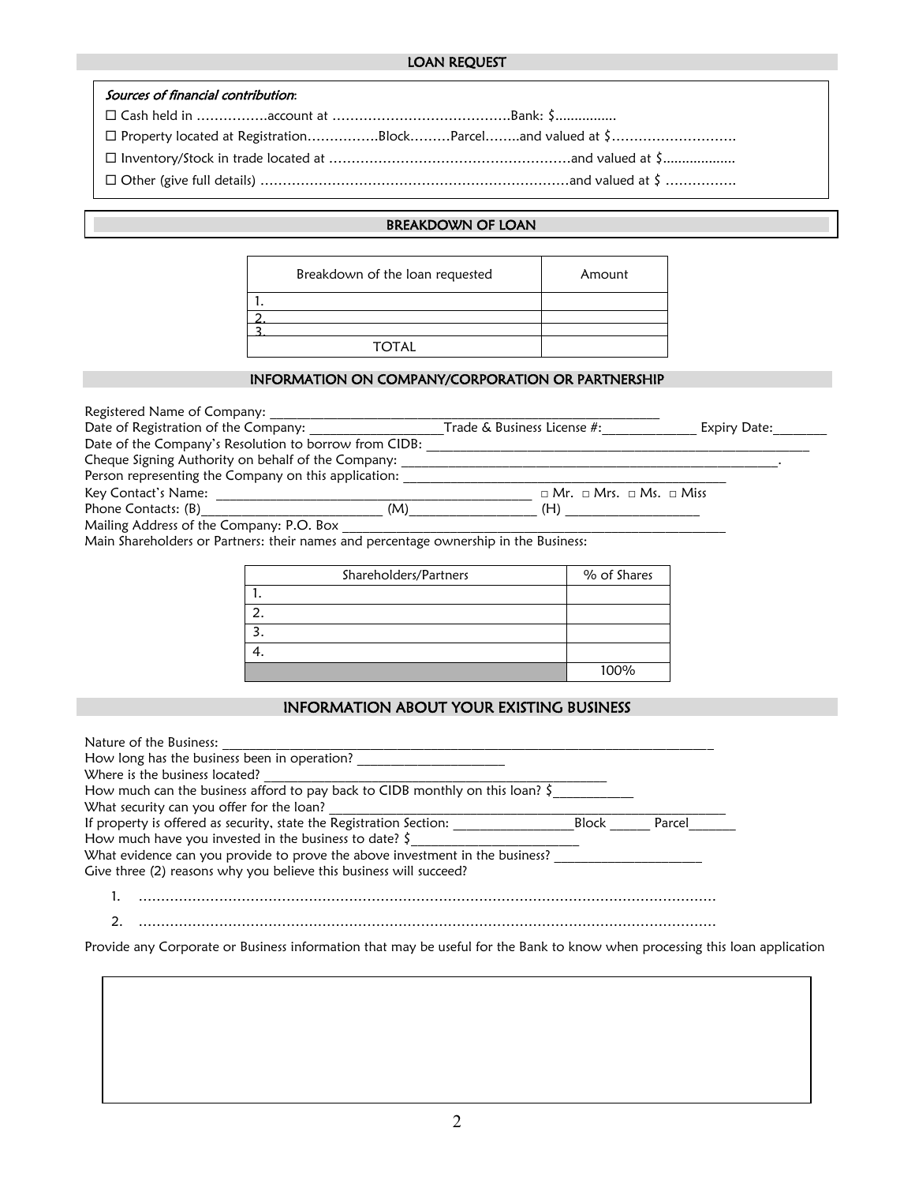### LOAN REQUEST

# Sources of financial contribution: Cash held in …………….account at ………………………………….Bank: \$................ Property located at Registration…………….Block………Parcel……..and valued at \$……………………….

Inventory/Stock in trade located at ………………………………………………and valued at \$...................

Other (give full details) ……………………………………………………………and valued at \$ …………….

#### BREAKDOWN OF LOAN

| Breakdown of the loan requested |              | Amount |
|---------------------------------|--------------|--------|
|                                 |              |        |
|                                 |              |        |
|                                 |              |        |
|                                 | <b>TOTAL</b> |        |

## INFORMATION ON COMPANY/CORPORATION OR PARTNERSHIP

| Registered Name of Company:                           |                                               |              |
|-------------------------------------------------------|-----------------------------------------------|--------------|
| Date of Registration of the Company:                  | Trade & Business License #:                   | Expiry Date: |
| Date of the Company's Resolution to borrow from CIDB: |                                               |              |
| Cheque Signing Authority on behalf of the Company:    |                                               |              |
| Person representing the Company on this application:  |                                               |              |
| Key Contact's Name:                                   | $\Box$ Mr. $\Box$ Mrs. $\Box$ Ms. $\Box$ Miss |              |
| Phone Contacts: (B)                                   | (M)<br>(H)                                    |              |
| Mailing Address of the Company: P.O. Box              |                                               |              |

Main Shareholders or Partners: their names and percentage ownership in the Business:

| Shareholders/Partners | % of Shares |
|-----------------------|-------------|
|                       |             |
| ⌒                     |             |
|                       |             |
|                       |             |
|                       | 100%        |

## INFORMATION ABOUT YOUR EXISTING BUSINESS

| Nature of the Business:                                                       |              |        |
|-------------------------------------------------------------------------------|--------------|--------|
| How long has the business been in operation?                                  |              |        |
| Where is the business located?                                                |              |        |
| How much can the business afford to pay back to CIDB monthly on this loan? \$ |              |        |
| What security can you offer for the loan?                                     |              |        |
| If property is offered as security, state the Registration Section:           | <b>Block</b> | Parcel |
| How much have you invested in the business to date? $\zeta$                   |              |        |
| What evidence can you provide to prove the above investment in the business?  |              |        |
| Give three (2) reasons why you believe this business will succeed?            |              |        |
|                                                                               |              |        |
|                                                                               |              |        |
|                                                                               |              |        |

Provide any Corporate or Business information that may be useful for the Bank to know when processing this loan application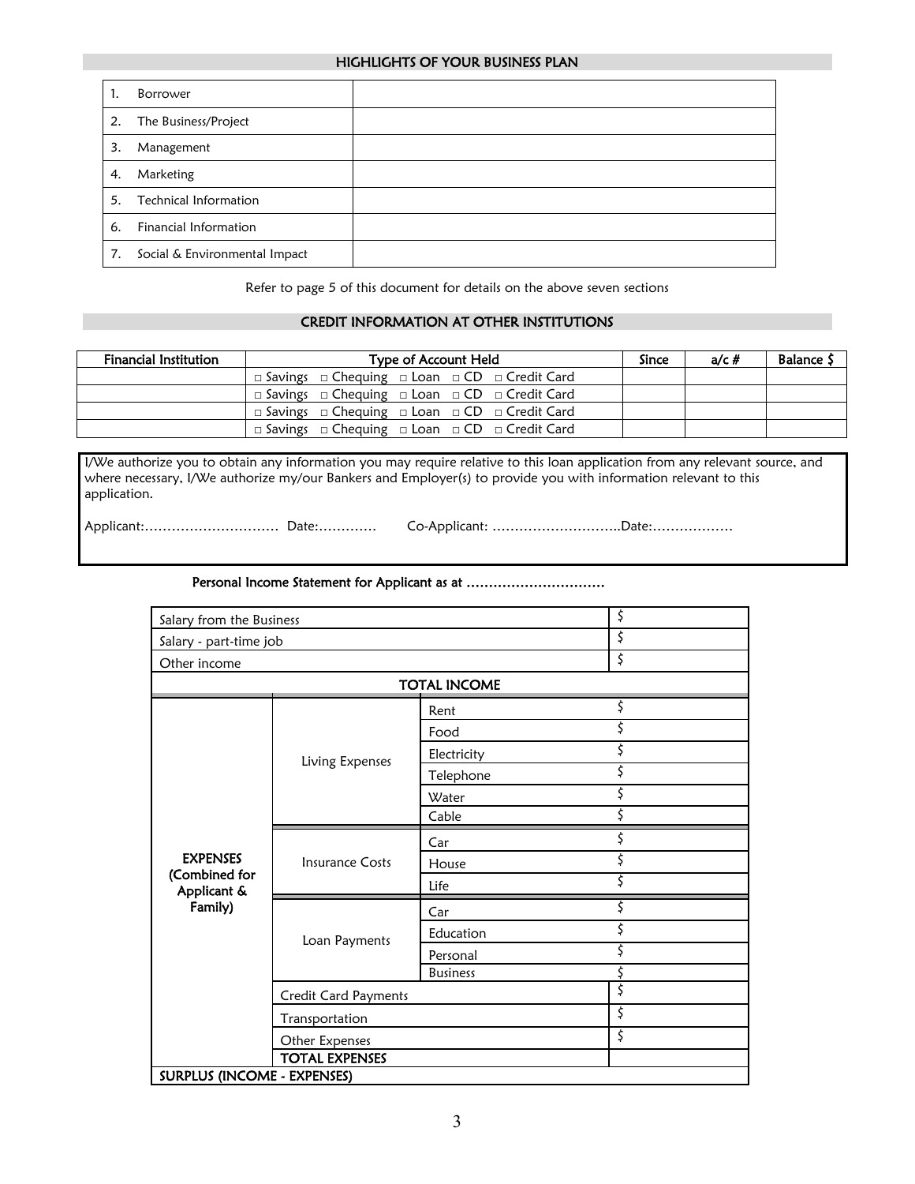## HIGHLIGHTS OF YOUR BUSINESS PLAN

|    | Borrower                      |  |
|----|-------------------------------|--|
|    | 2. The Business/Project       |  |
| 3. | Management                    |  |
| 4. | Marketing                     |  |
|    | 5. Technical Information      |  |
| 6. | Financial Information         |  |
| 7. | Social & Environmental Impact |  |

Refer to page 5 of this document for details on the above seven sections

# CREDIT INFORMATION AT OTHER INSTITUTIONS

| Financial Institution | Type of Account Held                                                    | Since | a/c # | <b>Balance S</b> |
|-----------------------|-------------------------------------------------------------------------|-------|-------|------------------|
|                       | $\Box$ Savings $\Box$ Chequing $\Box$ Loan $\Box$ CD $\Box$ Credit Card |       |       |                  |
|                       | $\Box$ Savings $\Box$ Chequing $\Box$ Loan $\Box$ CD $\Box$ Credit Card |       |       |                  |
|                       | $\Box$ Savings $\Box$ Chequing $\Box$ Loan $\Box$ CD $\Box$ Credit Card |       |       |                  |
|                       | $\Box$ Savings $\Box$ Chequing $\Box$ Loan $\Box$ CD $\Box$ Credit Card |       |       |                  |

 $\overline{a}$ I/We authorize you to obtain any information you may require relative to this loan application from any relevant source, and where necessary, I/We authorize my/our Bankers and Employer(s) to provide you with information relevant to this application.

Applicant:………………………… Date:…………. Co-Applicant: ………………………..Date:………………

#### Personal Income Statement for Applicant as at ………………………….

1

| Salary from the Business           |                             |                     | \$ |  |  |
|------------------------------------|-----------------------------|---------------------|----|--|--|
| Salary - part-time job             |                             |                     | \$ |  |  |
| Other income                       |                             | \$                  |    |  |  |
|                                    |                             | <b>TOTAL INCOME</b> |    |  |  |
|                                    |                             | Rent                | Ś  |  |  |
|                                    |                             | Food                |    |  |  |
|                                    | Living Expenses             | Electricity         | \$ |  |  |
|                                    |                             | Telephone           |    |  |  |
|                                    |                             | Water               |    |  |  |
|                                    |                             | Cable               |    |  |  |
|                                    | <b>Insurance Costs</b>      | Car                 |    |  |  |
| <b>EXPENSES</b>                    |                             | House               |    |  |  |
| (Combined for<br>Applicant &       |                             | Life                |    |  |  |
| Family)                            |                             | Car                 |    |  |  |
|                                    |                             | Education           | \$ |  |  |
|                                    | Loan Payments               | Personal            |    |  |  |
|                                    |                             | <b>Business</b>     |    |  |  |
|                                    | <b>Credit Card Payments</b> |                     | \$ |  |  |
|                                    | Transportation              |                     | \$ |  |  |
|                                    | Other Expenses              |                     | \$ |  |  |
|                                    | <b>TOTAL EXPENSES</b>       |                     |    |  |  |
| <b>SURPLUS (INCOME - EXPENSES)</b> |                             |                     |    |  |  |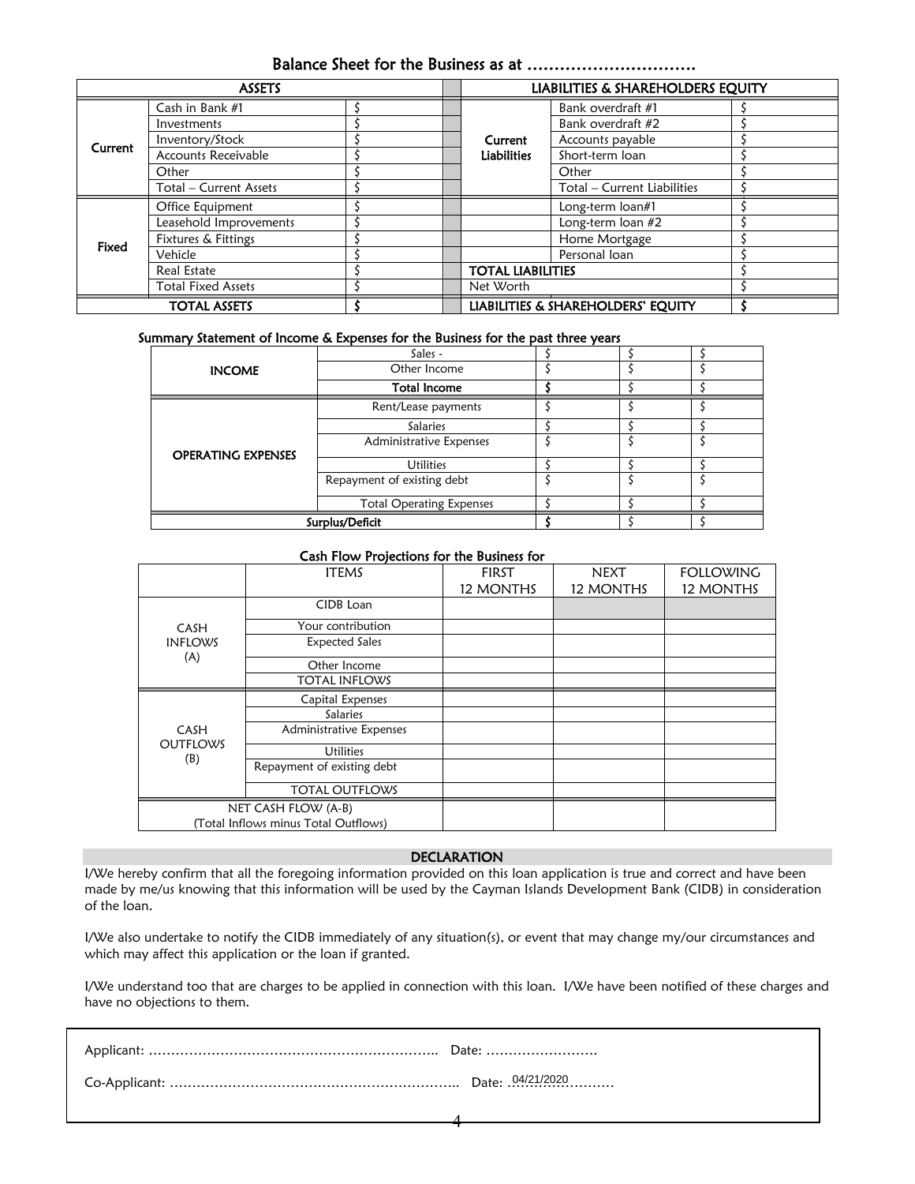# Balance Sheet for the Business as at ………………………….

| <b>ASSETS</b> |                           |  |  | LIABILITIES & SHAREHOLDERS EQUITY |                                    |  |
|---------------|---------------------------|--|--|-----------------------------------|------------------------------------|--|
|               | Cash in Bank #1           |  |  |                                   | Bank overdraft #1                  |  |
|               | Investments               |  |  |                                   | Bank overdraft #2                  |  |
|               | Inventory/Stock           |  |  | Current                           | Accounts payable                   |  |
| Current       | Accounts Receivable       |  |  | <b>Liabilities</b>                | Short-term loan                    |  |
|               | Other                     |  |  |                                   | Other                              |  |
|               | Total - Current Assets    |  |  |                                   | Total - Current Liabilities        |  |
|               | Office Equipment          |  |  |                                   | Long-term loan#1                   |  |
|               | Leasehold Improvements    |  |  |                                   | Long-term loan $#2$                |  |
| Fixed         | Fixtures & Fittings       |  |  |                                   | Home Mortgage                      |  |
|               | Vehicle                   |  |  |                                   | Personal loan                      |  |
|               | <b>Real Estate</b>        |  |  | <b>TOTAL LIABILITIES</b>          |                                    |  |
|               | <b>Total Fixed Assets</b> |  |  | Net Worth                         |                                    |  |
|               | <b>TOTAL ASSETS</b>       |  |  |                                   | LIABILITIES & SHAREHOLDERS' EQUITY |  |

### Summary Statement of Income & Expenses for the Business for the past three years

|                           | Sales -                         |  |  |
|---------------------------|---------------------------------|--|--|
| <b>INCOME</b>             | Other Income                    |  |  |
|                           | <b>Total Income</b>             |  |  |
| <b>OPERATING EXPENSES</b> | Rent/Lease payments             |  |  |
|                           | <b>Salaries</b>                 |  |  |
|                           | Administrative Expenses         |  |  |
|                           | <b>Utilities</b>                |  |  |
|                           | Repayment of existing debt      |  |  |
|                           | <b>Total Operating Expenses</b> |  |  |
| Surplus/Deficit           |                                 |  |  |

#### Cash Flow Projections for the Business for

|                                                             | <b>ITEMS</b>               | <b>FIRST</b> | NEXT      | <b>FOLLOWING</b> |
|-------------------------------------------------------------|----------------------------|--------------|-----------|------------------|
|                                                             |                            | 12 MONTHS    | 12 MONTHS | 12 MONTHS        |
| <b>CASH</b><br><b>INFLOWS</b>                               | CIDB Loan                  |              |           |                  |
|                                                             | Your contribution          |              |           |                  |
|                                                             | <b>Expected Sales</b>      |              |           |                  |
| (A)                                                         | Other Income               |              |           |                  |
|                                                             | <b>TOTAL INFLOWS</b>       |              |           |                  |
| <b>CASH</b><br><b>OUTFLOWS</b><br>(B)                       | Capital Expenses           |              |           |                  |
|                                                             | Salaries                   |              |           |                  |
|                                                             | Administrative Expenses    |              |           |                  |
|                                                             | <b>Utilities</b>           |              |           |                  |
|                                                             | Repayment of existing debt |              |           |                  |
|                                                             | <b>TOTAL OUTFLOWS</b>      |              |           |                  |
| NET CASH FLOW (A-B)<br>(Total Inflows minus Total Outflows) |                            |              |           |                  |
|                                                             |                            |              |           |                  |

#### DECLARATION

I/We hereby confirm that all the foregoing information provided on this loan application is true and correct and have been made by me/us knowing that this information will be used by the Cayman Islands Development Bank (CIDB) in consideration of the loan.

I/We also undertake to notify the CIDB immediately of any situation(s), or event that may change my/our circumstances and which may affect this application or the loan if granted.

I/We understand too that are charges to be applied in connection with this loan. I/We have been notified of these charges and have no objections to them.

4

| 04/21/2020 |  |
|------------|--|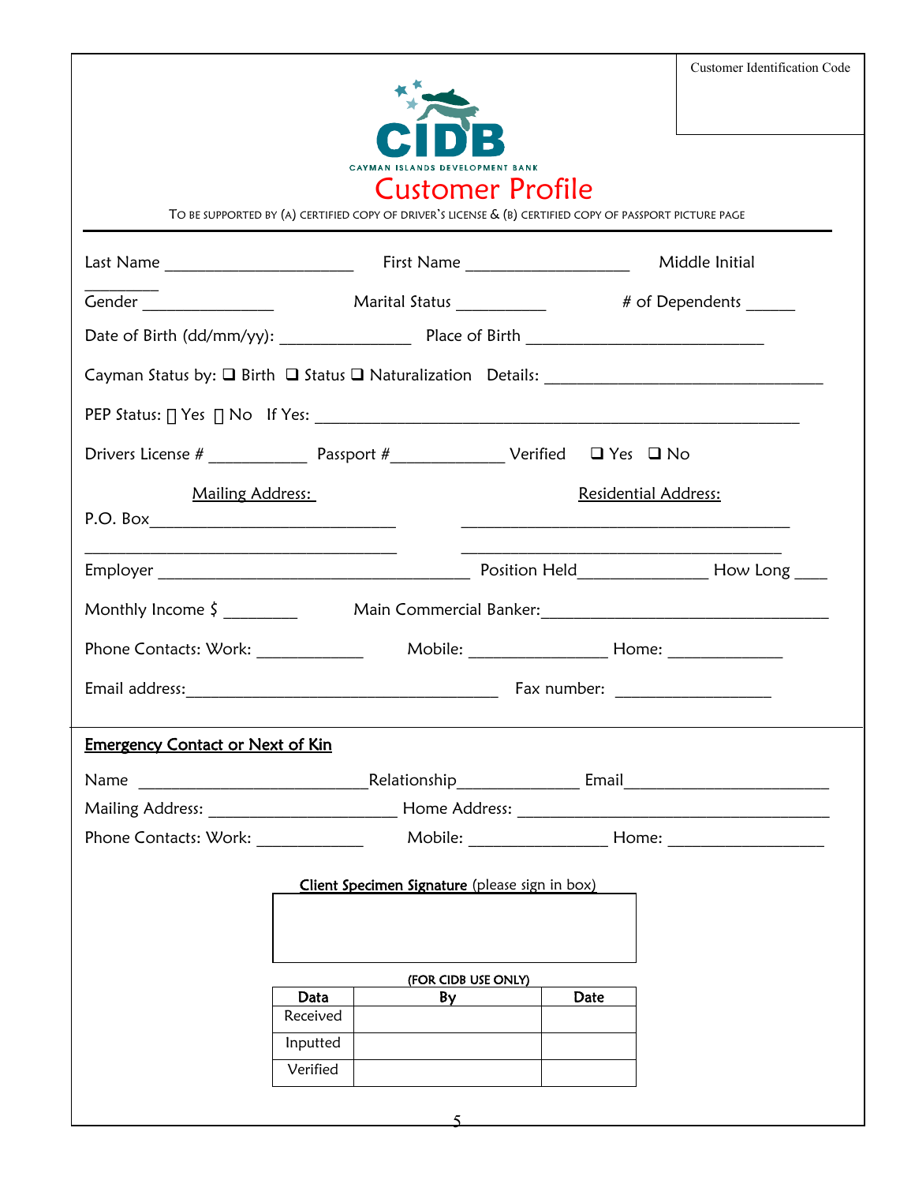|                                                                                                                                    | CAYMAN ISLANDS DEVELOPMENT BANK |    | <b>Customer Identification Code</b> |  |  |  |
|------------------------------------------------------------------------------------------------------------------------------------|---------------------------------|----|-------------------------------------|--|--|--|
| <b>Customer Profile</b><br>TO BE SUPPORTED BY (A) CERTIFIED COPY OF DRIVER'S LICENSE & (B) CERTIFIED COPY OF PASSPORT PICTURE PAGE |                                 |    |                                     |  |  |  |
|                                                                                                                                    |                                 |    |                                     |  |  |  |
| Cender Marital Status Marital Status Marital Status Marital Status Muslem Marital Status Muslem Marital Status                     |                                 |    |                                     |  |  |  |
|                                                                                                                                    |                                 |    |                                     |  |  |  |
|                                                                                                                                    |                                 |    |                                     |  |  |  |
|                                                                                                                                    |                                 |    |                                     |  |  |  |
|                                                                                                                                    |                                 |    |                                     |  |  |  |
| <b>Mailing Address:</b>                                                                                                            |                                 |    | Residential Address:                |  |  |  |
|                                                                                                                                    |                                 |    |                                     |  |  |  |
|                                                                                                                                    |                                 |    |                                     |  |  |  |
|                                                                                                                                    |                                 |    |                                     |  |  |  |
|                                                                                                                                    |                                 |    |                                     |  |  |  |
|                                                                                                                                    |                                 |    |                                     |  |  |  |
| <b>Emergency Contact or Next of Kin</b>                                                                                            |                                 |    | Name Name Name Nelationship Email   |  |  |  |
|                                                                                                                                    |                                 |    |                                     |  |  |  |
|                                                                                                                                    |                                 |    |                                     |  |  |  |
| Client Specimen Signature (please sign in box)                                                                                     |                                 |    |                                     |  |  |  |
|                                                                                                                                    |                                 |    |                                     |  |  |  |
|                                                                                                                                    |                                 |    |                                     |  |  |  |
| (FOR CIDB USE ONLY)<br>Date                                                                                                        |                                 |    |                                     |  |  |  |
|                                                                                                                                    | Data<br>Received                | By |                                     |  |  |  |
|                                                                                                                                    | Inputted                        |    |                                     |  |  |  |
|                                                                                                                                    | Verified                        |    |                                     |  |  |  |
| 5                                                                                                                                  |                                 |    |                                     |  |  |  |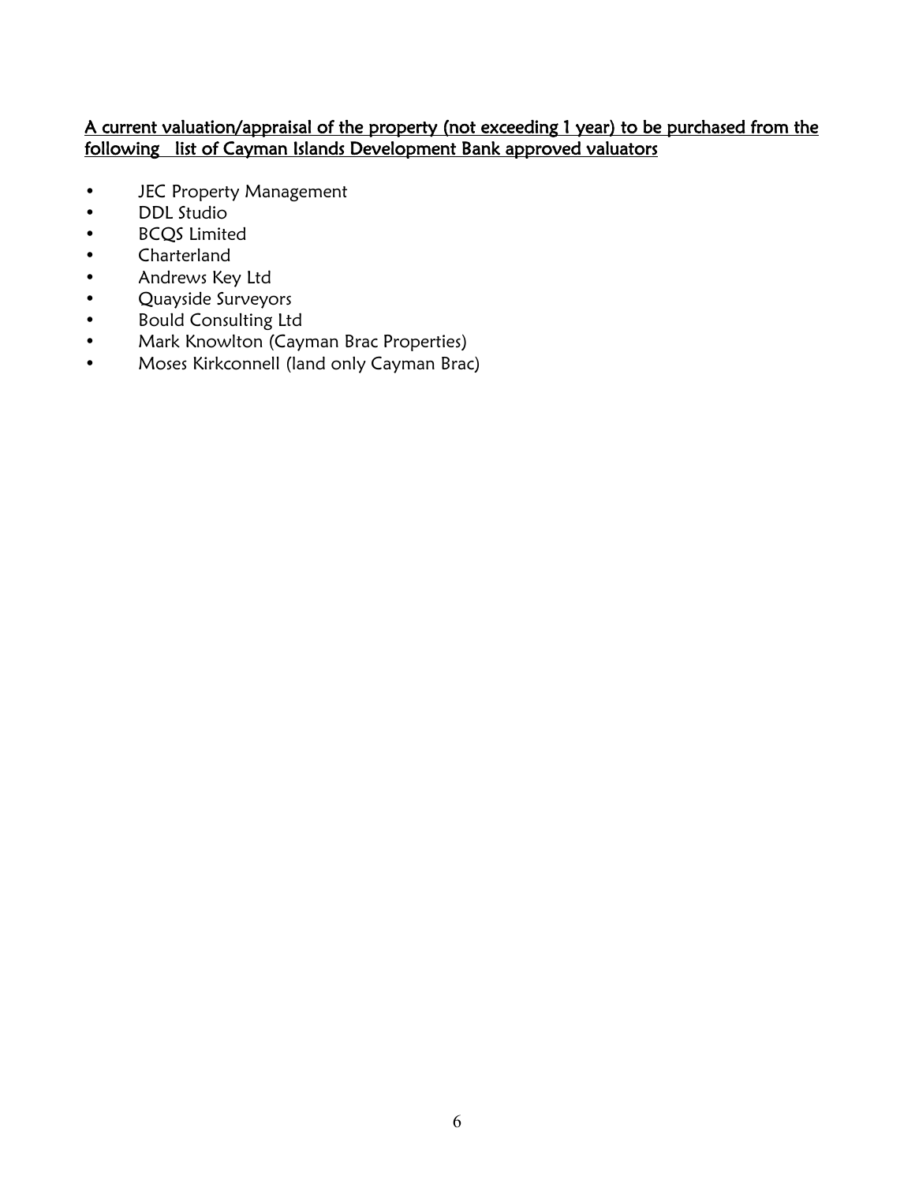# A current valuation/appraisal of the property (not exceeding 1 year) to be purchased from the following list of Cayman Islands Development Bank approved valuators

- JEC Property Management
- DDL Studio<br>• BCOS Limite
- BCQS Limited
- Charterland
- Andrews Key Ltd<br>• Ouavside Surveyc
- Quayside Surveyors
- Bould Consulting Ltd
- Mark Knowlton (Cayman Brac Properties)
- Moses Kirkconnell (land only Cayman Brac)